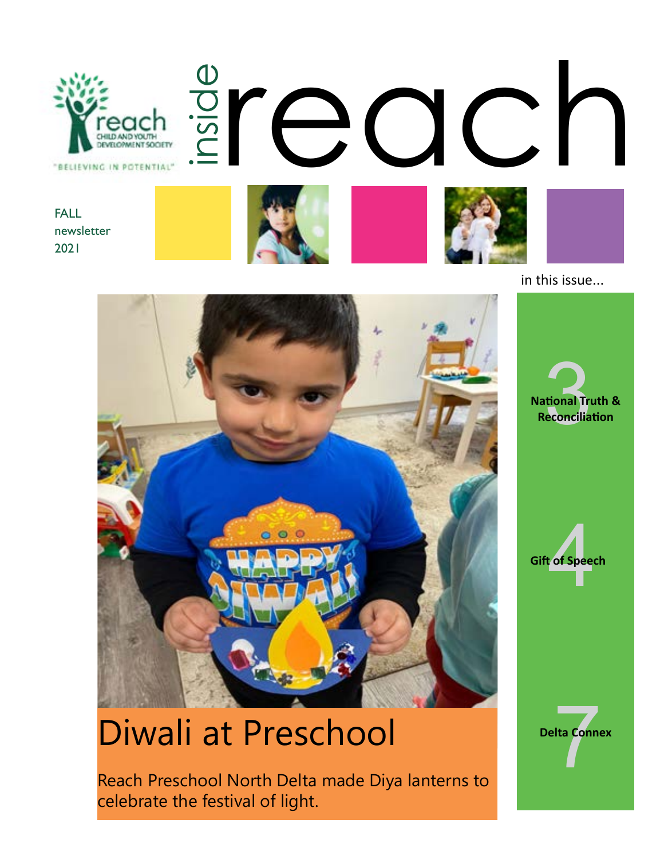

in this issue...



# Diwali at Preschool

Reach Preschool North Delta made Diya lanterns to celebrate the festival of light.

**National Truth & Reconciliation**<br>**Reconciliation** 

of Speed **Gift of Speech**

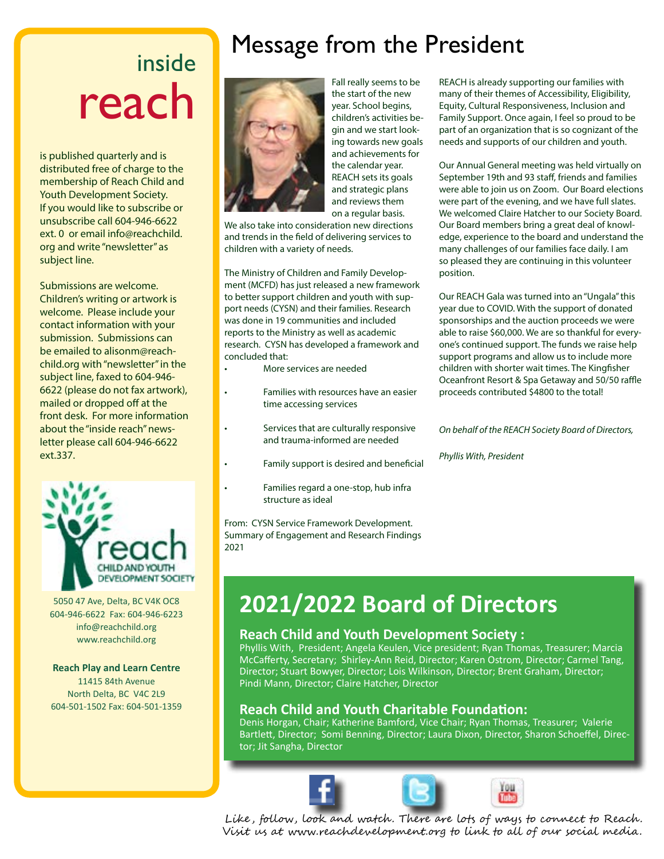# inside reach

is published quarterly and is distributed free of charge to the membership of Reach Child and Youth Development Society. If you would like to subscribe or unsubscribe call 604-946-6622 ext. 0 or email info@reachchild. org and write "newsletter" as subject line.

Submissions are welcome. Children's writing or artwork is welcome. Please include your contact information with your submission. Submissions can be emailed to alisonm@reachchild.org with "newsletter" in the subject line, faxed to 604-946- 6622 (please do not fax artwork), mailed or dropped off at the front desk. For more information about the "inside reach" newsletter please call 604-946-6622 ext.337.



5050 47 Ave, Delta, BC V4K OC8 604-946-6622 Fax: 604-946-6223 info@reachchild.org www.reachchild.org

#### **Reach Play and Learn Centre**

11415 84th Avenue North Delta, BC V4C 2L9 604-501-1502 Fax: 604-501-1359

# Message from the President



Fall really seems to be the start of the new year. School begins, children's activities begin and we start looking towards new goals and achievements for the calendar year. REACH sets its goals and strategic plans and reviews them on a regular basis.

We also take into consideration new directions and trends in the field of delivering services to children with a variety of needs.

The Ministry of Children and Family Development (MCFD) has just released a new framework to better support children and youth with support needs (CYSN) and their families. Research was done in 19 communities and included reports to the Ministry as well as academic research. CYSN has developed a framework and concluded that:

- More services are needed
- Families with resources have an easier time accessing services
- Services that are culturally responsive and trauma-informed are needed
- Family support is desired and beneficial
- Families regard a one-stop, hub infra structure as ideal

From: CYSN Service Framework Development. Summary of Engagement and Research Findings 2021

REACH is already supporting our families with many of their themes of Accessibility, Eligibility, Equity, Cultural Responsiveness, Inclusion and Family Support. Once again, I feel so proud to be part of an organization that is so cognizant of the needs and supports of our children and youth.

Our Annual General meeting was held virtually on September 19th and 93 staff, friends and families were able to join us on Zoom. Our Board elections were part of the evening, and we have full slates. We welcomed Claire Hatcher to our Society Board. Our Board members bring a great deal of knowledge, experience to the board and understand the many challenges of our families face daily. I am so pleased they are continuing in this volunteer position.

Our REACH Gala was turned into an "Ungala" this year due to COVID. With the support of donated sponsorships and the auction proceeds we were able to raise \$60,000. We are so thankful for everyone's continued support. The funds we raise help support programs and allow us to include more children with shorter wait times. The Kingfisher Oceanfront Resort & Spa Getaway and 50/50 raffle proceeds contributed \$4800 to the total!

*On behalf of the REACH Society Board of Directors,*

*Phyllis With, President*

# **2021/2022 Board of Directors**

#### **Reach Child and Youth Development Society :**

Phyllis With, President; Angela Keulen, Vice president; Ryan Thomas, Treasurer; Marcia McCafferty, Secretary; Shirley-Ann Reid, Director; Karen Ostrom, Director; Carmel Tang, Director; Stuart Bowyer, Director; Lois Wilkinson, Director; Brent Graham, Director; Pindi Mann, Director; Claire Hatcher, Director

#### **Reach Child and Youth Charitable Foundation:**

Denis Horgan, Chair; Katherine Bamford, Vice Chair; Ryan Thomas, Treasurer; Valerie Bartlett, Director; Somi Benning, Director; Laura Dixon, Director, Sharon Schoeffel, Director; Jit Sangha, Director





Like , follow, look and watch . There are lots of ways to connect to Reach . Visit us at www.reachdevelopment.org to link to all of our social media.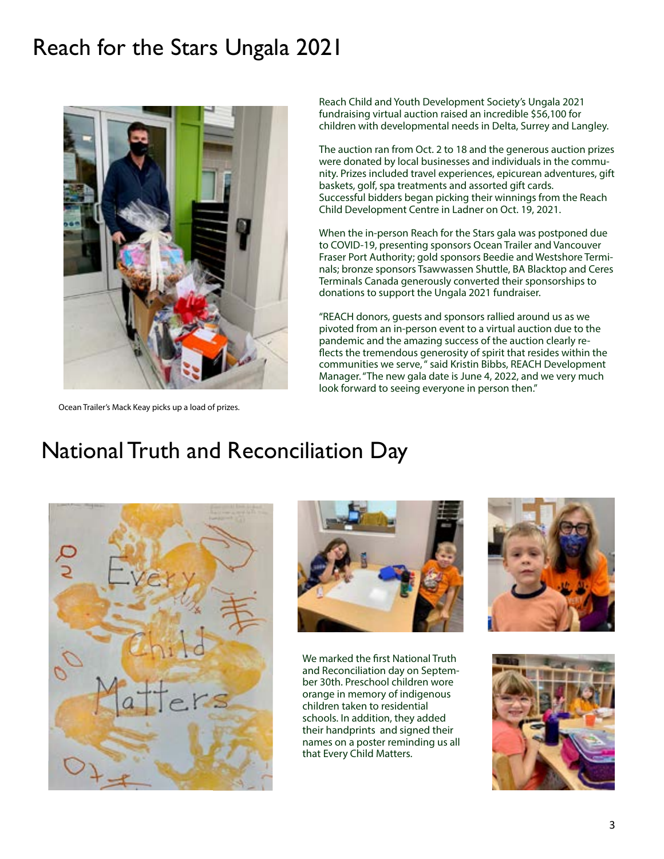## Reach for the Stars Ungala 2021



Ocean Trailer's Mack Keay picks up a load of prizes.

Reach Child and Youth Development Society's Ungala 2021 fundraising virtual auction raised an incredible \$56,100 for children with developmental needs in Delta, Surrey and Langley.

The auction ran from Oct. 2 to 18 and the generous auction prizes were donated by local businesses and individuals in the community. Prizes included travel experiences, epicurean adventures, gift baskets, golf, spa treatments and assorted gift cards. Successful bidders began picking their winnings from the Reach Child Development Centre in Ladner on Oct. 19, 2021.

When the in-person Reach for the Stars gala was postponed due to COVID-19, presenting sponsors Ocean Trailer and Vancouver Fraser Port Authority; gold sponsors Beedie and Westshore Terminals; bronze sponsors Tsawwassen Shuttle, BA Blacktop and Ceres Terminals Canada generously converted their sponsorships to donations to support the Ungala 2021 fundraiser.

"REACH donors, guests and sponsors rallied around us as we pivoted from an in-person event to a virtual auction due to the pandemic and the amazing success of the auction clearly reflects the tremendous generosity of spirit that resides within the communities we serve, " said Kristin Bibbs, REACH Development Manager. "The new gala date is June 4, 2022, and we very much look forward to seeing everyone in person then."

### National Truth and Reconciliation Day





We marked the first National Truth and Reconciliation day on September 30th. Preschool children wore orange in memory of indigenous children taken to residential schools. In addition, they added their handprints and signed their names on a poster reminding us all that Every Child Matters.



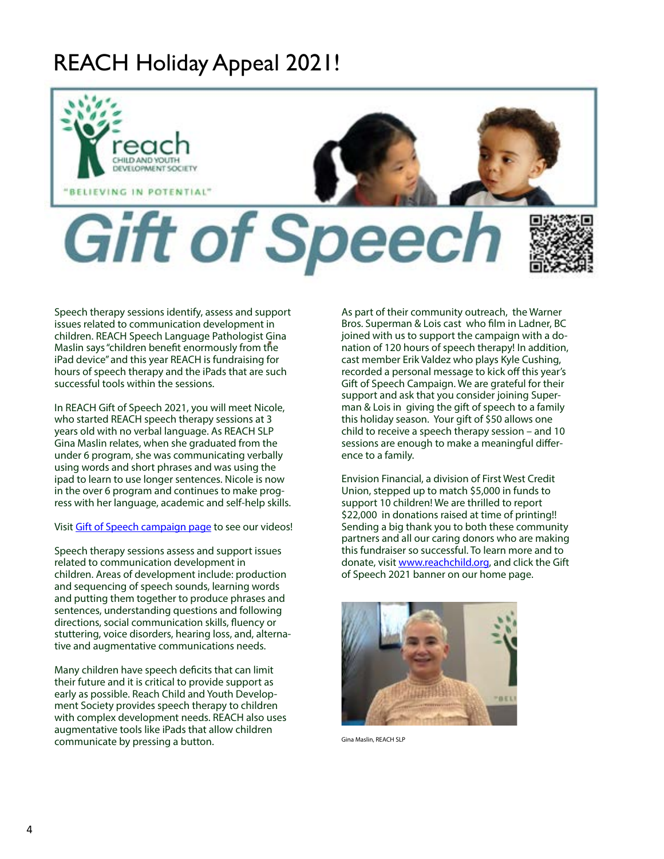# REACH Holiday Appeal 2021!



Speech therapy sessions identify, assess and support issues related to communication development in children. REACH Speech Language Pathologist Gina Maslin says "children benefit enormously from the iPad device" and this year REACH is fundraising for hours of speech therapy and the iPads that are such successful tools within the sessions.

In REACH Gift of Speech 2021, you will meet Nicole, who started REACH speech therapy sessions at 3 years old with no verbal language. As REACH SLP Gina Maslin relates, when she graduated from the under 6 program, she was communicating verbally using words and short phrases and was using the ipad to learn to use longer sentences. Nicole is now in the over 6 program and continues to make progress with her language, academic and self-help skills.

#### Visit [Gift of Speech campaign page](https://www.canadahelps.org/en/charities/reach-society/campaign/2021-gift-of-speech/) to see our videos!

Speech therapy sessions assess and support issues related to communication development in children. Areas of development include: production and sequencing of speech sounds, learning words and putting them together to produce phrases and sentences, understanding questions and following directions, social communication skills, fluency or stuttering, voice disorders, hearing loss, and, alternative and augmentative communications needs.

Many children have speech deficits that can limit their future and it is critical to provide support as early as possible. Reach Child and Youth Development Society provides speech therapy to children with complex development needs. REACH also uses augmentative tools like iPads that allow children communicate by pressing a button.

As part of their community outreach, the Warner Bros. Superman & Lois cast who film in Ladner, BC joined with us to support the campaign with a donation of 120 hours of speech therapy! In addition, cast member Erik Valdez who plays Kyle Cushing, recorded a personal message to kick off this year's Gift of Speech Campaign. We are grateful for their support and ask that you consider joining Superman & Lois in giving the gift of speech to a family this holiday season. Your gift of \$50 allows one child to receive a speech therapy session – and 10 sessions are enough to make a meaningful difference to a family.

Envision Financial, a division of First West Credit Union, stepped up to match \$5,000 in funds to support 10 children! We are thrilled to report \$22,000 in donations raised at time of printing!! Sending a big thank you to both these community partners and all our caring donors who are making this fundraiser so successful. To learn more and to donate, visit [www.reachchild.org](https://www.reachdevelopment.org/), and click the Gift of Speech 2021 banner on our home page.



Gina Maslin, REACH SLP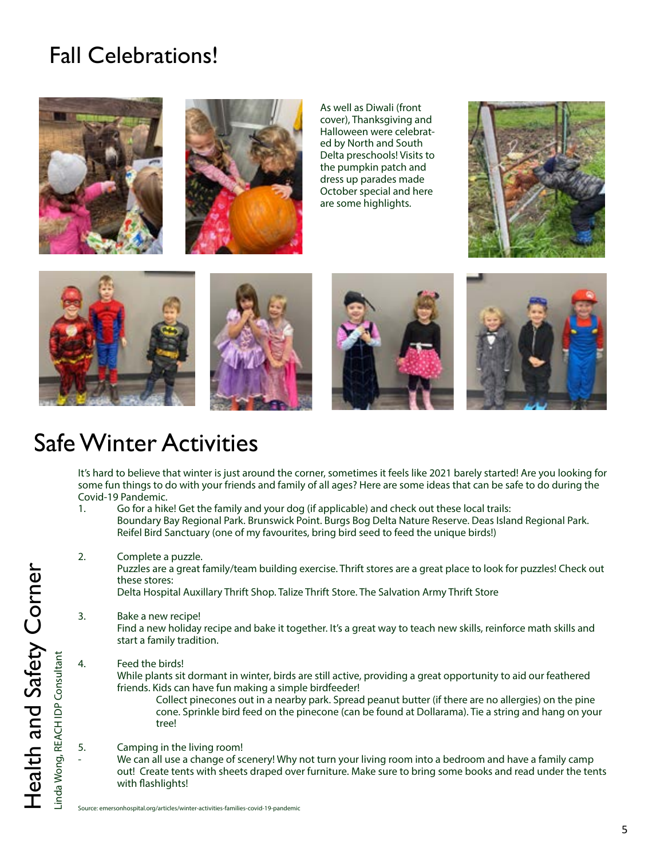# Fall Celebrations!





As well as Diwali (front cover), Thanksgiving and Halloween were celebrated by North and South Delta preschools! Visits to the pumpkin patch and dress up parades made October special and here are some highlights.











### Safe Winter Activities

It's hard to believe that winter is just around the corner, sometimes it feels like 2021 barely started! Are you looking for some fun things to do with your friends and family of all ages? Here are some ideas that can be safe to do during the Covid-19 Pandemic.

- 1. Go for a hike! Get the family and your dog (if applicable) and check out these local trails: Boundary Bay Regional Park. Brunswick Point. Burgs Bog Delta Nature Reserve. Deas Island Regional Park. Reifel Bird Sanctuary (one of my favourites, bring bird seed to feed the unique birds!)
- 2. Complete a puzzle.

Puzzles are a great family/team building exercise. Thrift stores are a great place to look for puzzles! Check out these stores:

Delta Hospital Auxillary Thrift Shop. Talize Thrift Store. The Salvation Army Thrift Store

3. Bake a new recipe!

Find a new holiday recipe and bake it together. It's a great way to teach new skills, reinforce math skills and start a family tradition.

4. Feed the birds!

While plants sit dormant in winter, birds are still active, providing a great opportunity to aid our feathered friends. Kids can have fun making a simple birdfeeder!

 Collect pinecones out in a nearby park. Spread peanut butter (if there are no allergies) on the pine cone. Sprinkle bird feed on the pinecone (can be found at Dollarama). Tie a string and hang on your tree!

5. Camping in the living room!

We can all use a change of scenery! Why not turn your living room into a bedroom and have a family camp out! Create tents with sheets draped over furniture. Make sure to bring some books and read under the tents with flashlights!

Source: emersonhospital.org/articles/winter-activities-families-covid-19-pandemic

Linda Wong, REACH IDP Consultant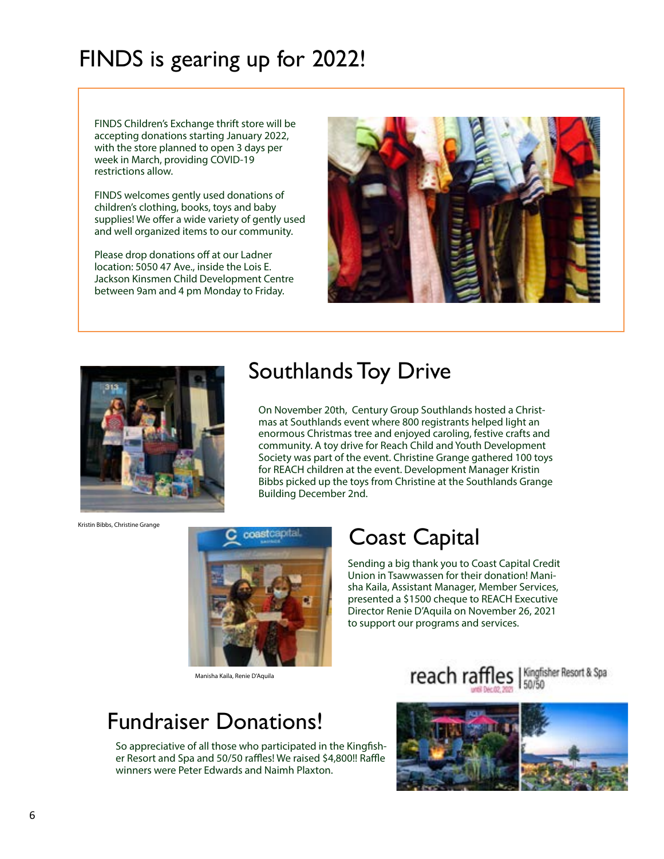# FINDS is gearing up for 2022!

FINDS Children's Exchange thrift store will be accepting donations starting January 2022, with the store planned to open 3 days per week in March, providing COVID-19 restrictions allow.

FINDS welcomes gently used donations of children's clothing, books, toys and baby supplies! We offer a wide variety of gently used and well organized items to our community.

Please drop donations off at our Ladner location: 5050 47 Ave., inside the Lois E. Jackson Kinsmen Child Development Centre between 9am and 4 pm Monday to Friday.





## Southlands Toy Drive

On November 20th, Century Group Southlands hosted a Christmas at Southlands event where 800 registrants helped light an enormous Christmas tree and enjoyed caroling, festive crafts and community. A toy drive for Reach Child and Youth Development Society was part of the event. Christine Grange gathered 100 toys for REACH children at the event. Development Manager Kristin Bibbs picked up the toys from Christine at the Southlands Grange Building December 2nd.

Kristin Bibbs, Christine Grange



Manisha Kaila, Renie D'Aquila

### Coast Capital

Sending a big thank you to Coast Capital Credit Union in Tsawwassen for their donation! Manisha Kaila, Assistant Manager, Member Services, presented a \$1500 cheque to REACH Executive Director Renie D'Aquila on November 26, 2021 to support our programs and services.



### Fundraiser Donations!

So appreciative of all those who participated in the Kingfisher Resort and Spa and 50/50 raffles! We raised \$4,800!! Raffle winners were Peter Edwards and Naimh Plaxton.

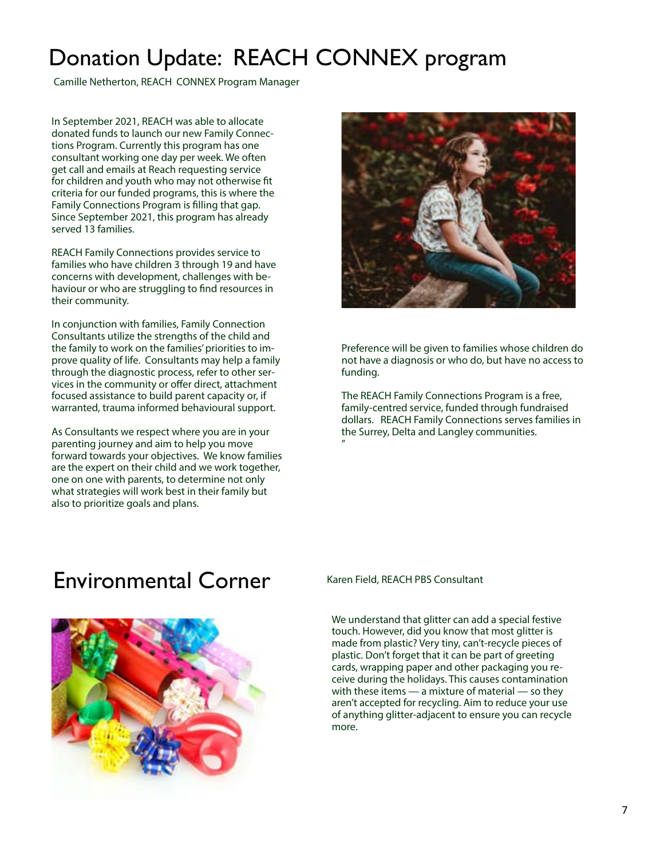# Donation Update: REACH CONNEX program

Camille Netherton, REACH CONNEX Program Manager

In September 2021, REACH was able to allocate donated funds to launch our new Family Connections Program. Currently this program has one consultant working one day per week. We often get call and emails at Reach requesting service for children and youth who may not otherwise fit criteria for our funded programs, this is where the Family Connections Program is filling that gap. Since September 2021, this program has already served 13 families.

REACH Family Connections provides service to families who have children 3 through 19 and have concerns with development, challenges with behaviour or who are struggling to find resources in their community.

In conjunction with families, Family Connection Consultants utilize the strengths of the child and the family to work on the families' priorities to improve quality of life. Consultants may help a family through the diagnostic process, refer to other services in the community or offer direct, attachment focused assistance to build parent capacity or, if warranted, trauma informed behavioural support.

As Consultants we respect where you are in your parenting journey and aim to help you move forward towards your objectives. We know families are the expert on their child and we work together, one on one with parents, to determine not only what strategies will work best in their family but also to prioritize goals and plans.



Preference will be given to families whose children do not have a diagnosis or who do, but have no access to funding.

The REACH Family Connections Program is a free, family-centred service, funded through fundraised dollars. REACH Family Connections serves families in the Surrey, Delta and Langley communities. "

### Environmental Corner



Karen Field, REACH PBS Consultant

We understand that glitter can add a special festive touch. However, did you know that most glitter is made from plastic? Very tiny, can't-recycle pieces of plastic. Don't forget that it can be part of greeting cards, wrapping paper and other packaging you receive during the holidays. This causes contamination with these items — a mixture of material — so they aren't accepted for recycling. Aim to reduce your use of anything glitter-adjacent to ensure you can recycle more.